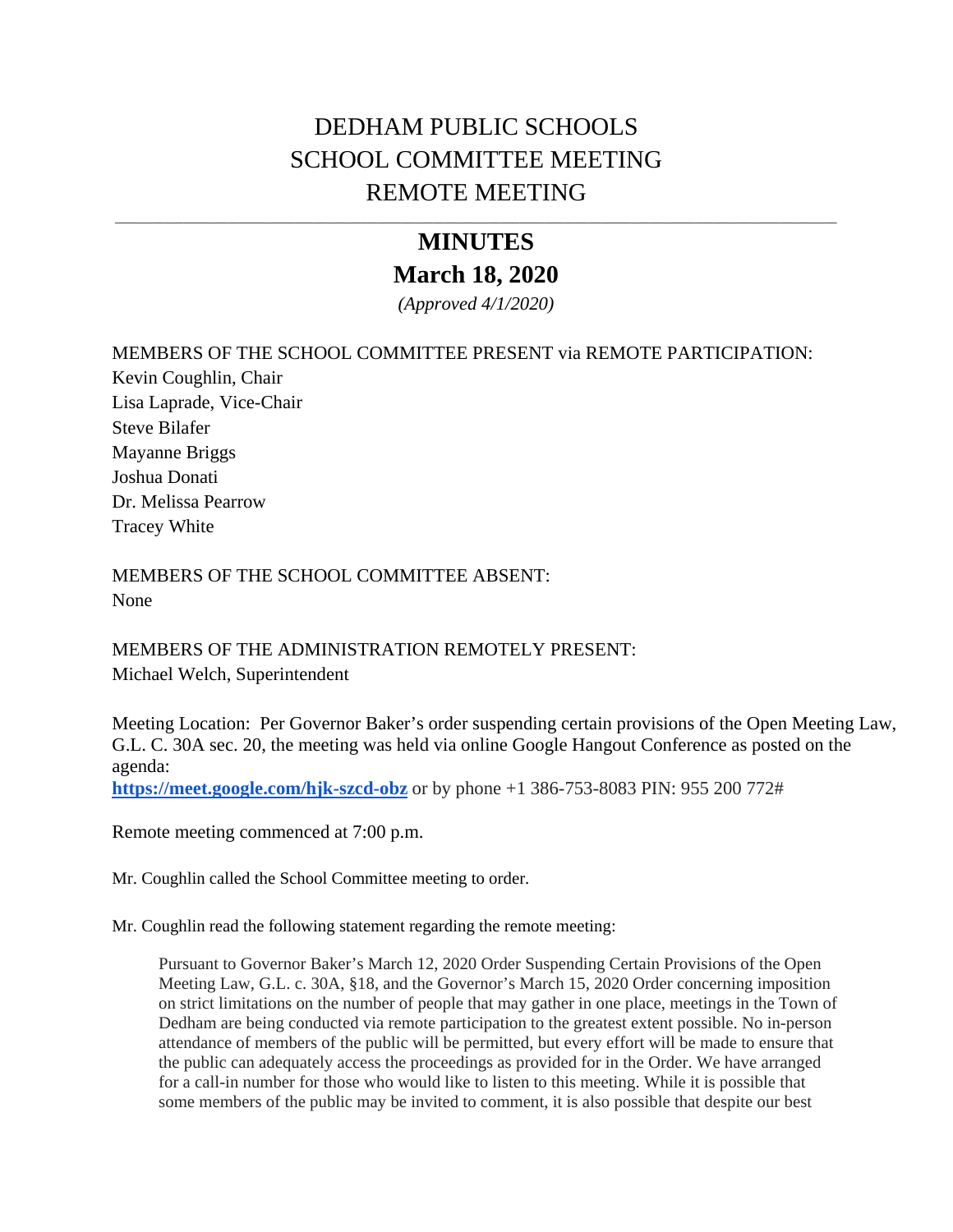## DEDHAM PUBLIC SCHOOLS SCHOOL COMMITTEE MEETING REMOTE MEETING

## **MINUTES March 18, 2020**

*(Approved 4/1/2020)* 

## MEMBERS OF THE SCHOOL COMMITTEE PRESENT via REMOTE PARTICIPATION:

Kevin Coughlin, Chair Lisa Laprade, Vice-Chair Steve Bilafer Mayanne Briggs Joshua Donati Dr. Melissa Pearrow Tracey White

MEMBERS OF THE SCHOOL COMMITTEE ABSENT: None

MEMBERS OF THE ADMINISTRATION REMOTELY PRESENT: Michael Welch, Superintendent

Meeting Location: Per Governor Baker's order suspending certain provisions of the Open Meeting Law, G.L. C. 30A sec. 20, the meeting was held via online Google Hangout Conference as posted on the agenda:

**<https://meet.google.com/hjk-szcd-obz>** or by phone +1 386-753-8083 PIN: 955 200 772#

Remote meeting commenced at 7:00 p.m.

Mr. Coughlin called the School Committee meeting to order.

Mr. Coughlin read the following statement regarding the remote meeting:

Pursuant to Governor Baker's March 12, 2020 Order Suspending Certain Provisions of the Open Meeting Law, G.L. c. 30A, §18, and the Governor's March 15, 2020 Order concerning imposition on strict limitations on the number of people that may gather in one place, meetings in the Town of Dedham are being conducted via remote participation to the greatest extent possible. No in-person attendance of members of the public will be permitted, but every effort will be made to ensure that the public can adequately access the proceedings as provided for in the Order. We have arranged for a call-in number for those who would like to listen to this meeting. While it is possible that some members of the public may be invited to comment, it is also possible that despite our best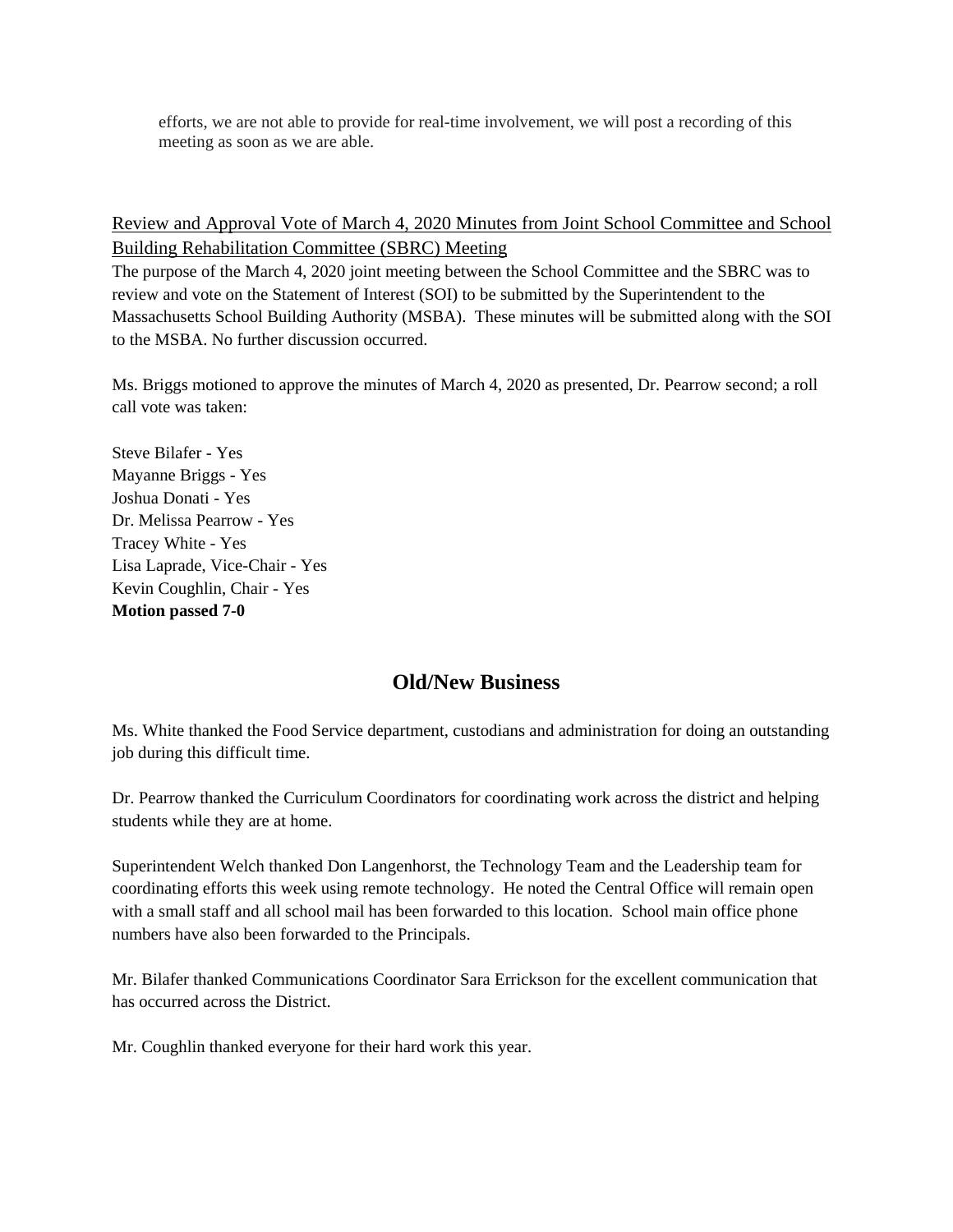efforts, we are not able to provide for real-time involvement, we will post a recording of this meeting as soon as we are able.

Review and Approval Vote of March 4, 2020 Minutes from Joint School Committee and School Building Rehabilitation Committee (SBRC) Meeting

The purpose of the March 4, 2020 joint meeting between the School Committee and the SBRC was to review and vote on the Statement of Interest (SOI) to be submitted by the Superintendent to the Massachusetts School Building Authority (MSBA). These minutes will be submitted along with the SOI to the MSBA. No further discussion occurred.

Ms. Briggs motioned to approve the minutes of March 4, 2020 as presented, Dr. Pearrow second; a roll call vote was taken:

Steve Bilafer - Yes Mayanne Briggs - Yes Joshua Donati - Yes Dr. Melissa Pearrow - Yes Tracey White - Yes Lisa Laprade, Vice-Chair - Yes Kevin Coughlin, Chair - Yes **Motion passed 7-0** 

## **Old/New Business**

Ms. White thanked the Food Service department, custodians and administration for doing an outstanding job during this difficult time.

Dr. Pearrow thanked the Curriculum Coordinators for coordinating work across the district and helping students while they are at home.

Superintendent Welch thanked Don Langenhorst, the Technology Team and the Leadership team for coordinating efforts this week using remote technology. He noted the Central Office will remain open with a small staff and all school mail has been forwarded to this location. School main office phone numbers have also been forwarded to the Principals.

Mr. Bilafer thanked Communications Coordinator Sara Errickson for the excellent communication that has occurred across the District.

Mr. Coughlin thanked everyone for their hard work this year.